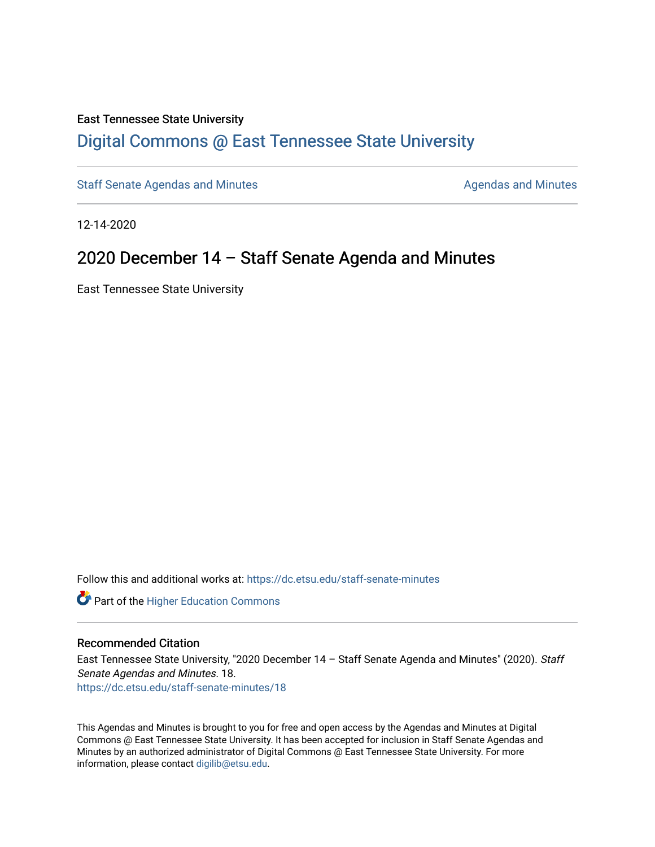#### East Tennessee State University

# [Digital Commons @ East Tennessee State University](https://dc.etsu.edu/)

[Staff Senate Agendas and Minutes](https://dc.etsu.edu/staff-senate-minutes) **Agent Agent Staff Senate Agendas and Minutes** Agendas and Minutes

12-14-2020

# 2020 December 14 – Staff Senate Agenda and Minutes

East Tennessee State University

Follow this and additional works at: [https://dc.etsu.edu/staff-senate-minutes](https://dc.etsu.edu/staff-senate-minutes?utm_source=dc.etsu.edu%2Fstaff-senate-minutes%2F18&utm_medium=PDF&utm_campaign=PDFCoverPages)

**Part of the Higher Education Commons** 

#### Recommended Citation

East Tennessee State University, "2020 December 14 - Staff Senate Agenda and Minutes" (2020). Staff Senate Agendas and Minutes. 18. [https://dc.etsu.edu/staff-senate-minutes/18](https://dc.etsu.edu/staff-senate-minutes/18?utm_source=dc.etsu.edu%2Fstaff-senate-minutes%2F18&utm_medium=PDF&utm_campaign=PDFCoverPages) 

This Agendas and Minutes is brought to you for free and open access by the Agendas and Minutes at Digital Commons @ East Tennessee State University. It has been accepted for inclusion in Staff Senate Agendas and Minutes by an authorized administrator of Digital Commons @ East Tennessee State University. For more information, please contact [digilib@etsu.edu.](mailto:digilib@etsu.edu)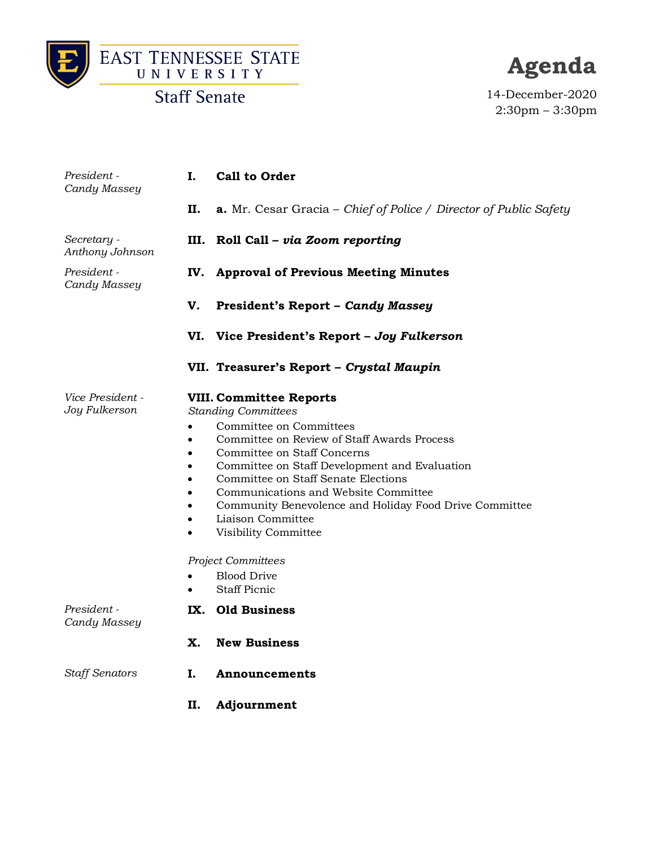



# **Agenda**

14-December-2020 2:30pm – 3:30pm

| President -<br>Candy Massey              | Ι.        | <b>Call to Order</b>                                                                                                                                                                                                                                                                                                                                                                                                                                                                   |
|------------------------------------------|-----------|----------------------------------------------------------------------------------------------------------------------------------------------------------------------------------------------------------------------------------------------------------------------------------------------------------------------------------------------------------------------------------------------------------------------------------------------------------------------------------------|
|                                          | П.        | <b>a.</b> Mr. Cesar Gracia – Chief of Police / Director of Public Safety                                                                                                                                                                                                                                                                                                                                                                                                               |
| Secretary -<br>Anthony Johnson           | III.      | Roll Call - via Zoom reporting                                                                                                                                                                                                                                                                                                                                                                                                                                                         |
| President -<br>Candy Massey              | IV.       | <b>Approval of Previous Meeting Minutes</b>                                                                                                                                                                                                                                                                                                                                                                                                                                            |
|                                          | V.        | <b>President's Report - Candy Massey</b>                                                                                                                                                                                                                                                                                                                                                                                                                                               |
|                                          | VI.       | Vice President's Report - Joy Fulkerson                                                                                                                                                                                                                                                                                                                                                                                                                                                |
|                                          |           | VII. Treasurer's Report - Crystal Maupin                                                                                                                                                                                                                                                                                                                                                                                                                                               |
| <i>Vice President -</i><br>Joy Fulkerson | $\bullet$ | <b>VIII. Committee Reports</b><br><b>Standing Committees</b><br>Committee on Committees<br>Committee on Review of Staff Awards Process<br>Committee on Staff Concerns<br>Committee on Staff Development and Evaluation<br>Committee on Staff Senate Elections<br>Communications and Website Committee<br>Community Benevolence and Holiday Food Drive Committee<br>Liaison Committee<br>Visibility Committee<br><b>Project Committees</b><br><b>Blood Drive</b><br><b>Staff Picnic</b> |
| President -<br>Candy Massey              | IX.       | <b>Old Business</b>                                                                                                                                                                                                                                                                                                                                                                                                                                                                    |
|                                          | Х.        | <b>New Business</b>                                                                                                                                                                                                                                                                                                                                                                                                                                                                    |
| <b>Staff Senators</b>                    | I.        | <b>Announcements</b>                                                                                                                                                                                                                                                                                                                                                                                                                                                                   |
|                                          | П.        | Adjournment                                                                                                                                                                                                                                                                                                                                                                                                                                                                            |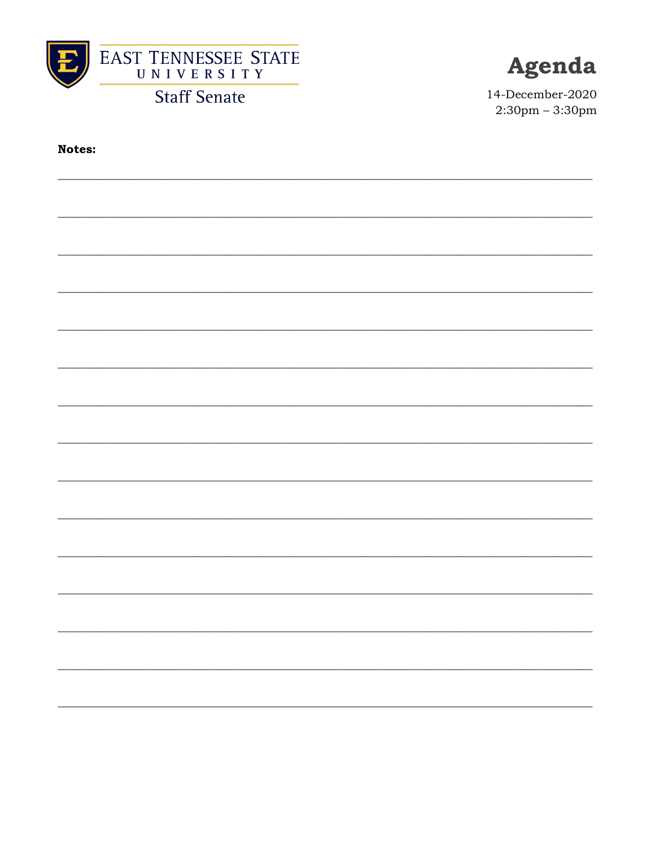



14-December-2020  $2:30$ pm -  $3:30$ pm

**Notes:**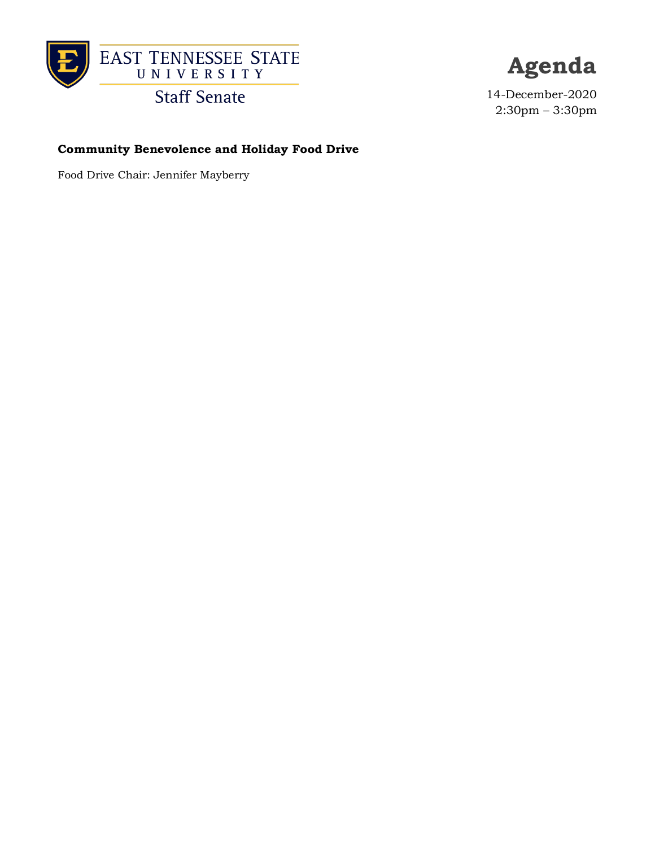

**Agenda**

14-December-2020 2:30pm – 3:30pm

### **Community Benevolence and Holiday Food Drive**

Food Drive Chair: Jennifer Mayberry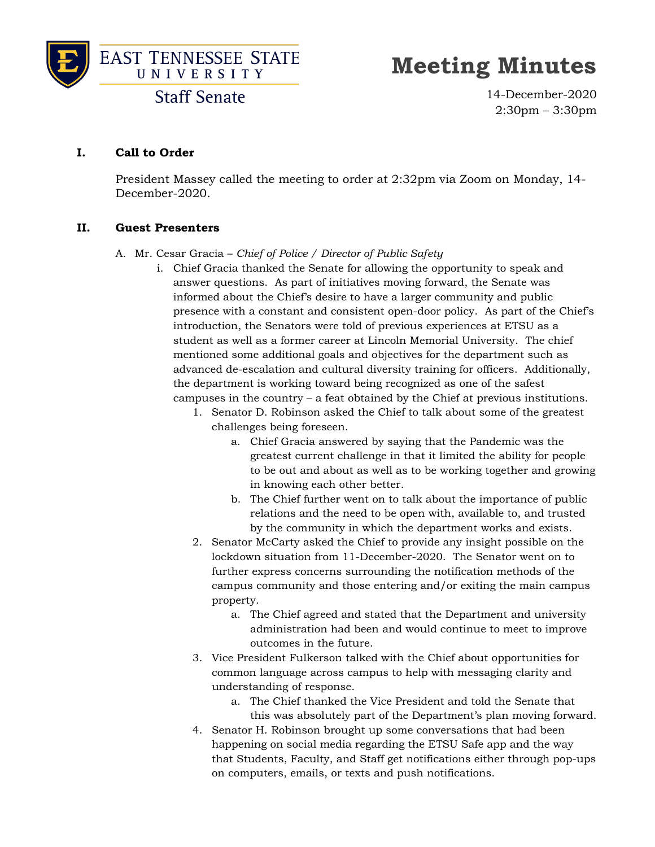



**Staff Senate** 

14-December-2020 2:30pm – 3:30pm

#### **I. Call to Order**

President Massey called the meeting to order at 2:32pm via Zoom on Monday, 14- December-2020.

#### **II. Guest Presenters**

#### A. Mr. Cesar Gracia – *Chief of Police / Director of Public Safety*

- i. Chief Gracia thanked the Senate for allowing the opportunity to speak and answer questions. As part of initiatives moving forward, the Senate was informed about the Chief's desire to have a larger community and public presence with a constant and consistent open-door policy. As part of the Chief's introduction, the Senators were told of previous experiences at ETSU as a student as well as a former career at Lincoln Memorial University. The chief mentioned some additional goals and objectives for the department such as advanced de-escalation and cultural diversity training for officers. Additionally, the department is working toward being recognized as one of the safest campuses in the country – a feat obtained by the Chief at previous institutions.
	- 1. Senator D. Robinson asked the Chief to talk about some of the greatest challenges being foreseen.
		- a. Chief Gracia answered by saying that the Pandemic was the greatest current challenge in that it limited the ability for people to be out and about as well as to be working together and growing in knowing each other better.
		- b. The Chief further went on to talk about the importance of public relations and the need to be open with, available to, and trusted by the community in which the department works and exists.
	- 2. Senator McCarty asked the Chief to provide any insight possible on the lockdown situation from 11-December-2020. The Senator went on to further express concerns surrounding the notification methods of the campus community and those entering and/or exiting the main campus property.
		- a. The Chief agreed and stated that the Department and university administration had been and would continue to meet to improve outcomes in the future.
	- 3. Vice President Fulkerson talked with the Chief about opportunities for common language across campus to help with messaging clarity and understanding of response.
		- a. The Chief thanked the Vice President and told the Senate that this was absolutely part of the Department's plan moving forward.
	- 4. Senator H. Robinson brought up some conversations that had been happening on social media regarding the ETSU Safe app and the way that Students, Faculty, and Staff get notifications either through pop-ups on computers, emails, or texts and push notifications.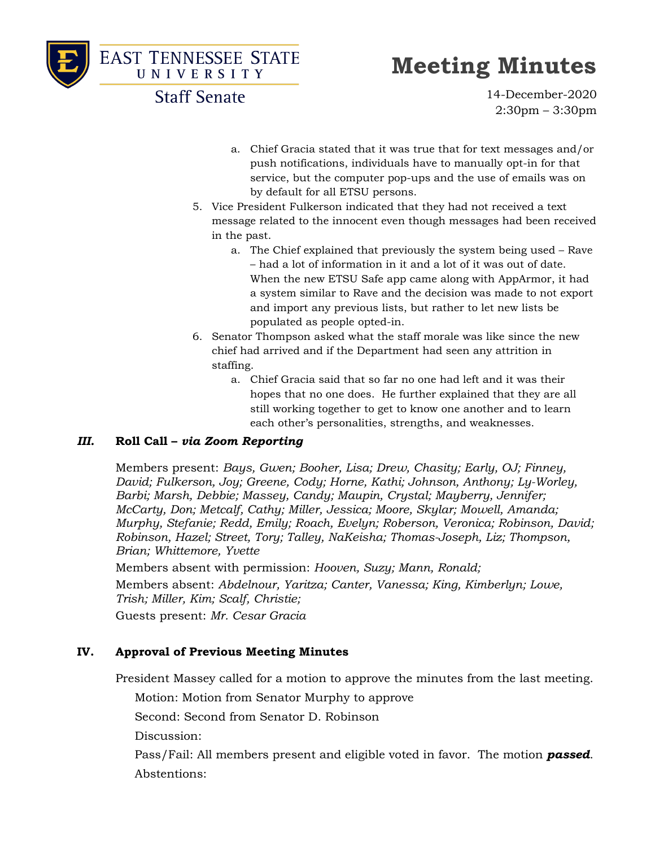

**EAST TENNESSEE STATE** UNIVERSITY

# **Meeting Minutes**

**Staff Senate** 

14-December-2020 2:30pm – 3:30pm

- a. Chief Gracia stated that it was true that for text messages and/or push notifications, individuals have to manually opt-in for that service, but the computer pop-ups and the use of emails was on by default for all ETSU persons.
- 5. Vice President Fulkerson indicated that they had not received a text message related to the innocent even though messages had been received in the past.
	- a. The Chief explained that previously the system being used Rave – had a lot of information in it and a lot of it was out of date. When the new ETSU Safe app came along with AppArmor, it had a system similar to Rave and the decision was made to not export and import any previous lists, but rather to let new lists be populated as people opted-in.
- 6. Senator Thompson asked what the staff morale was like since the new chief had arrived and if the Department had seen any attrition in staffing.
	- a. Chief Gracia said that so far no one had left and it was their hopes that no one does. He further explained that they are all still working together to get to know one another and to learn each other's personalities, strengths, and weaknesses.

#### *III.* **Roll Call –** *via Zoom Reporting*

Members present: *Bays, Gwen; Booher, Lisa; Drew, Chasity; Early, OJ; Finney, David; Fulkerson, Joy; Greene, Cody; Horne, Kathi; Johnson, Anthony; Ly-Worley, Barbi; Marsh, Debbie; Massey, Candy; Maupin, Crystal; Mayberry, Jennifer; McCarty, Don; Metcalf, Cathy; Miller, Jessica; Moore, Skylar; Mowell, Amanda; Murphy, Stefanie; Redd, Emily; Roach, Evelyn; Roberson, Veronica; Robinson, David; Robinson, Hazel; Street, Tory; Talley, NaKeisha; Thomas-Joseph, Liz; Thompson, Brian; Whittemore, Yvette*

Members absent with permission: *Hooven, Suzy; Mann, Ronald;* 

Members absent: *Abdelnour, Yaritza; Canter, Vanessa; King, Kimberlyn; Lowe, Trish; Miller, Kim; Scalf, Christie;*

Guests present: *Mr. Cesar Gracia*

## **IV. Approval of Previous Meeting Minutes**

President Massey called for a motion to approve the minutes from the last meeting.

Motion: Motion from Senator Murphy to approve

Second: Second from Senator D. Robinson

Discussion:

Pass/Fail: All members present and eligible voted in favor. The motion *passed*. Abstentions: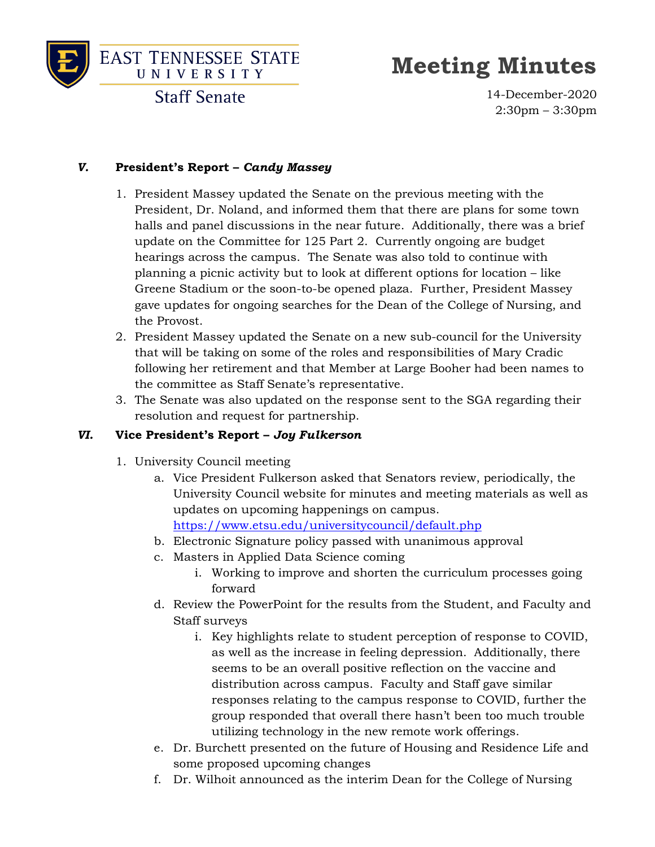



# **Meeting Minutes**

14-December-2020 2:30pm – 3:30pm

# *V.* **President's Report –** *Candy Massey*

- 1. President Massey updated the Senate on the previous meeting with the President, Dr. Noland, and informed them that there are plans for some town halls and panel discussions in the near future. Additionally, there was a brief update on the Committee for 125 Part 2. Currently ongoing are budget hearings across the campus. The Senate was also told to continue with planning a picnic activity but to look at different options for location – like Greene Stadium or the soon-to-be opened plaza. Further, President Massey gave updates for ongoing searches for the Dean of the College of Nursing, and the Provost.
- 2. President Massey updated the Senate on a new sub-council for the University that will be taking on some of the roles and responsibilities of Mary Cradic following her retirement and that Member at Large Booher had been names to the committee as Staff Senate's representative.
- 3. The Senate was also updated on the response sent to the SGA regarding their resolution and request for partnership.

## *VI.* **Vice President's Report –** *Joy Fulkerson*

- 1. University Council meeting
	- a. Vice President Fulkerson asked that Senators review, periodically, the University Council website for minutes and meeting materials as well as updates on upcoming happenings on campus. <https://www.etsu.edu/universitycouncil/default.php>
	- b. Electronic Signature policy passed with unanimous approval
	- c. Masters in Applied Data Science coming
		- i. Working to improve and shorten the curriculum processes going forward
	- d. Review the PowerPoint for the results from the Student, and Faculty and Staff surveys
		- i. Key highlights relate to student perception of response to COVID, as well as the increase in feeling depression. Additionally, there seems to be an overall positive reflection on the vaccine and distribution across campus. Faculty and Staff gave similar responses relating to the campus response to COVID, further the group responded that overall there hasn't been too much trouble utilizing technology in the new remote work offerings.
	- e. Dr. Burchett presented on the future of Housing and Residence Life and some proposed upcoming changes
	- f. Dr. Wilhoit announced as the interim Dean for the College of Nursing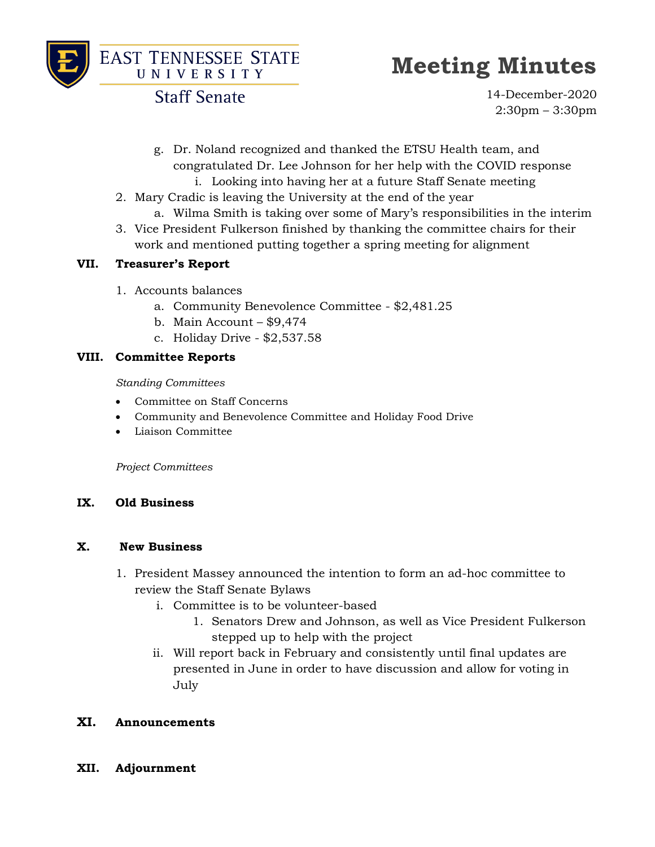



**Staff Senate** 

14-December-2020 2:30pm – 3:30pm

- g. Dr. Noland recognized and thanked the ETSU Health team, and congratulated Dr. Lee Johnson for her help with the COVID response i. Looking into having her at a future Staff Senate meeting
- 2. Mary Cradic is leaving the University at the end of the year
	- a. Wilma Smith is taking over some of Mary's responsibilities in the interim
- 3. Vice President Fulkerson finished by thanking the committee chairs for their work and mentioned putting together a spring meeting for alignment

## **VII. Treasurer's Report**

- 1. Accounts balances
	- a. Community Benevolence Committee \$2,481.25
	- b. Main Account \$9,474
	- c. Holiday Drive \$2,537.58

### **VIII. Committee Reports**

*Standing Committees*

- Committee on Staff Concerns
- Community and Benevolence Committee and Holiday Food Drive
- Liaison Committee

*Project Committees*

## **IX. Old Business**

#### **X. New Business**

- 1. President Massey announced the intention to form an ad-hoc committee to review the Staff Senate Bylaws
	- i. Committee is to be volunteer-based
		- 1. Senators Drew and Johnson, as well as Vice President Fulkerson stepped up to help with the project
	- ii. Will report back in February and consistently until final updates are presented in June in order to have discussion and allow for voting in July

## **XI. Announcements**

**XII. Adjournment**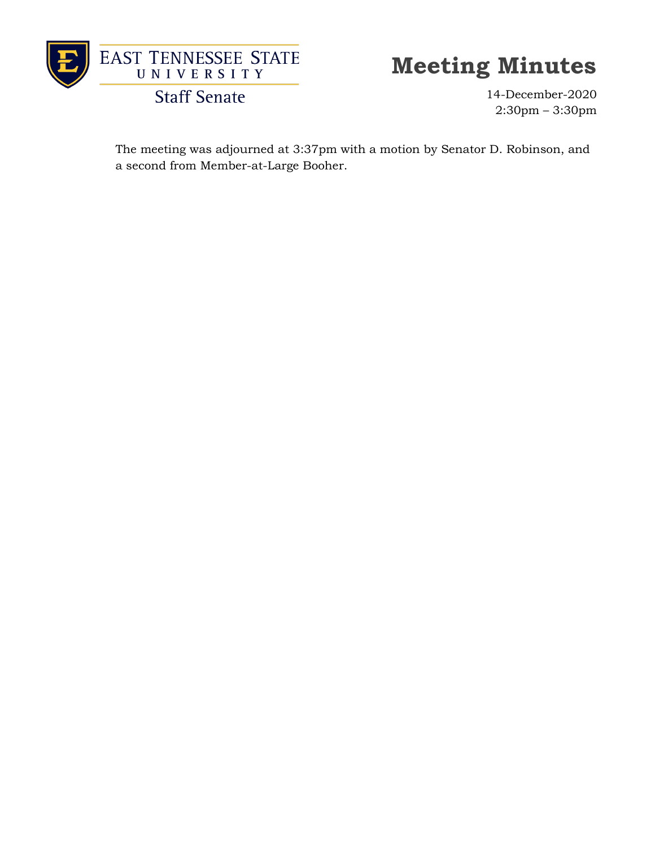

**Staff Senate** 

14-December-2020 2:30pm – 3:30pm

The meeting was adjourned at 3:37pm with a motion by Senator D. Robinson, and a second from Member-at-Large Booher.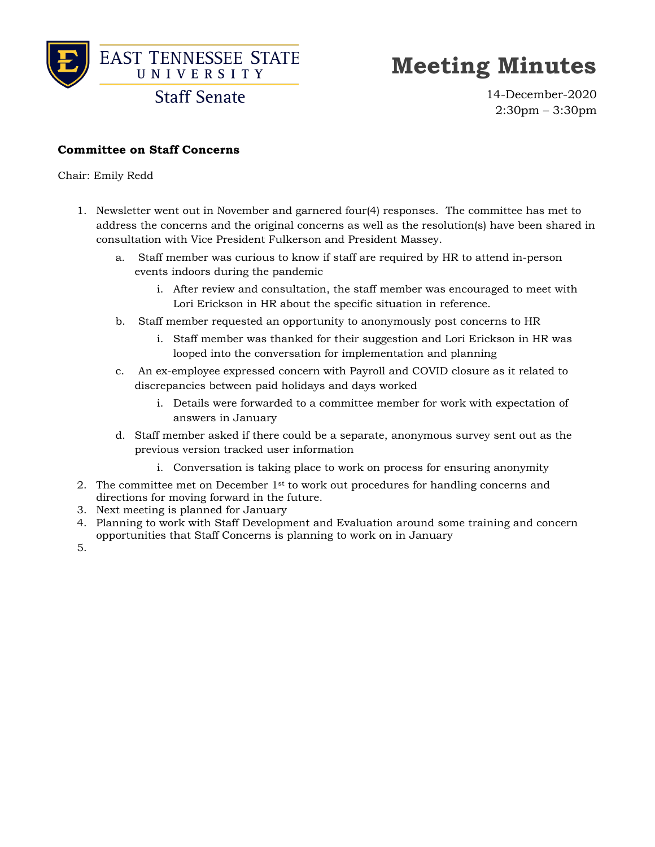

**Staff Senate** 

14-December-2020 2:30pm – 3:30pm

### **Committee on Staff Concerns**

Chair: Emily Redd

- 1. Newsletter went out in November and garnered four(4) responses. The committee has met to address the concerns and the original concerns as well as the resolution(s) have been shared in consultation with Vice President Fulkerson and President Massey.
	- a. Staff member was curious to know if staff are required by HR to attend in-person events indoors during the pandemic
		- i. After review and consultation, the staff member was encouraged to meet with Lori Erickson in HR about the specific situation in reference.
	- b. Staff member requested an opportunity to anonymously post concerns to HR
		- i. Staff member was thanked for their suggestion and Lori Erickson in HR was looped into the conversation for implementation and planning
	- c. An ex-employee expressed concern with Payroll and COVID closure as it related to discrepancies between paid holidays and days worked
		- i. Details were forwarded to a committee member for work with expectation of answers in January
	- d. Staff member asked if there could be a separate, anonymous survey sent out as the previous version tracked user information
		- i. Conversation is taking place to work on process for ensuring anonymity
- 2. The committee met on December 1<sup>st</sup> to work out procedures for handling concerns and directions for moving forward in the future.
- 3. Next meeting is planned for January
- 4. Planning to work with Staff Development and Evaluation around some training and concern opportunities that Staff Concerns is planning to work on in January
- 5.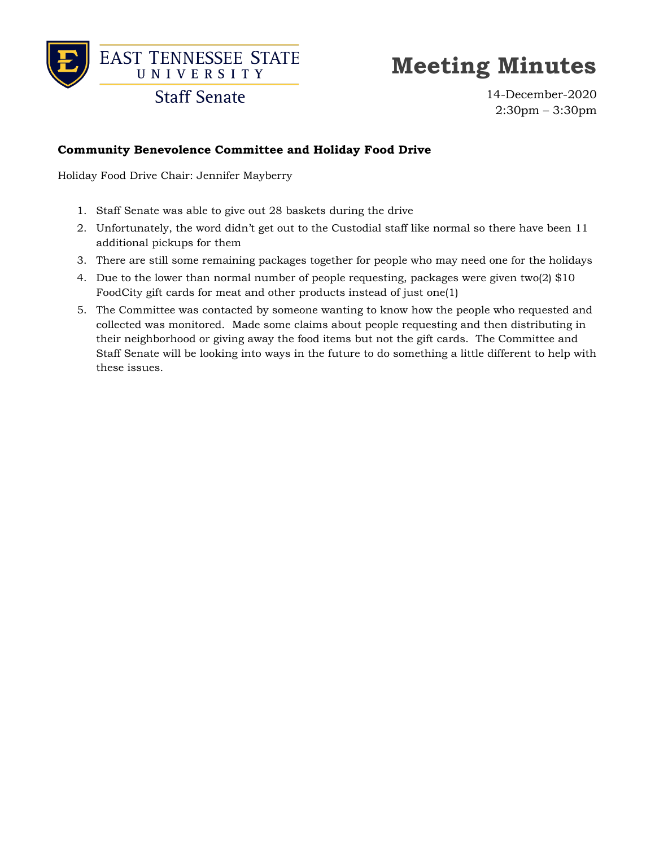

**Staff Senate** 

14-December-2020 2:30pm – 3:30pm

### **Community Benevolence Committee and Holiday Food Drive**

Holiday Food Drive Chair: Jennifer Mayberry

- 1. Staff Senate was able to give out 28 baskets during the drive
- 2. Unfortunately, the word didn't get out to the Custodial staff like normal so there have been 11 additional pickups for them
- 3. There are still some remaining packages together for people who may need one for the holidays
- 4. Due to the lower than normal number of people requesting, packages were given two(2) \$10 FoodCity gift cards for meat and other products instead of just one(1)
- 5. The Committee was contacted by someone wanting to know how the people who requested and collected was monitored. Made some claims about people requesting and then distributing in their neighborhood or giving away the food items but not the gift cards. The Committee and Staff Senate will be looking into ways in the future to do something a little different to help with these issues.